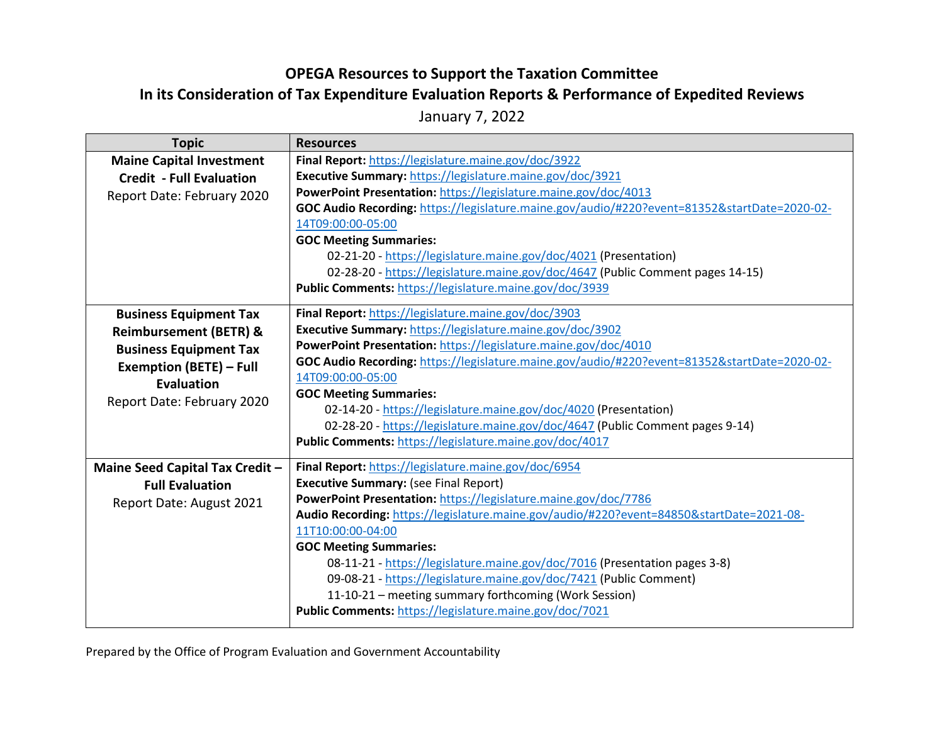## **OPEGA Resources to Support the Taxation Committee**

## **In its Consideration of Tax Expenditure Evaluation Reports & Performance of Expedited Reviews**

January 7, 2022

| <b>Topic</b>                      | <b>Resources</b>                                                                             |
|-----------------------------------|----------------------------------------------------------------------------------------------|
| <b>Maine Capital Investment</b>   | Final Report: https://legislature.maine.gov/doc/3922                                         |
| <b>Credit - Full Evaluation</b>   | Executive Summary: https://legislature.maine.gov/doc/3921                                    |
| Report Date: February 2020        | PowerPoint Presentation: https://legislature.maine.gov/doc/4013                              |
|                                   | GOC Audio Recording: https://legislature.maine.gov/audio/#220?event=81352&startDate=2020-02- |
|                                   | 14T09:00:00-05:00                                                                            |
|                                   | <b>GOC Meeting Summaries:</b>                                                                |
|                                   | 02-21-20 - https://legislature.maine.gov/doc/4021 (Presentation)                             |
|                                   | 02-28-20 - https://legislature.maine.gov/doc/4647 (Public Comment pages 14-15)               |
|                                   | Public Comments: https://legislature.maine.gov/doc/3939                                      |
| <b>Business Equipment Tax</b>     | Final Report: https://legislature.maine.gov/doc/3903                                         |
| <b>Reimbursement (BETR) &amp;</b> | Executive Summary: https://legislature.maine.gov/doc/3902                                    |
| <b>Business Equipment Tax</b>     | PowerPoint Presentation: https://legislature.maine.gov/doc/4010                              |
| <b>Exemption (BETE) - Full</b>    | GOC Audio Recording: https://legislature.maine.gov/audio/#220?event=81352&startDate=2020-02- |
| Evaluation                        | 14T09:00:00-05:00                                                                            |
|                                   | <b>GOC Meeting Summaries:</b>                                                                |
| Report Date: February 2020        | 02-14-20 - https://legislature.maine.gov/doc/4020 (Presentation)                             |
|                                   | 02-28-20 - https://legislature.maine.gov/doc/4647 (Public Comment pages 9-14)                |
|                                   | Public Comments: https://legislature.maine.gov/doc/4017                                      |
| Maine Seed Capital Tax Credit -   | Final Report: https://legislature.maine.gov/doc/6954                                         |
| <b>Full Evaluation</b>            | <b>Executive Summary: (see Final Report)</b>                                                 |
| Report Date: August 2021          | PowerPoint Presentation: https://legislature.maine.gov/doc/7786                              |
|                                   | Audio Recording: https://legislature.maine.gov/audio/#220?event=84850&startDate=2021-08-     |
|                                   | 11T10:00:00-04:00                                                                            |
|                                   | <b>GOC Meeting Summaries:</b>                                                                |
|                                   | 08-11-21 - https://legislature.maine.gov/doc/7016 (Presentation pages 3-8)                   |
|                                   | 09-08-21 - https://legislature.maine.gov/doc/7421 (Public Comment)                           |
|                                   | 11-10-21 - meeting summary forthcoming (Work Session)                                        |
|                                   | Public Comments: https://legislature.maine.gov/doc/7021                                      |

Prepared by the Office of Program Evaluation and Government Accountability